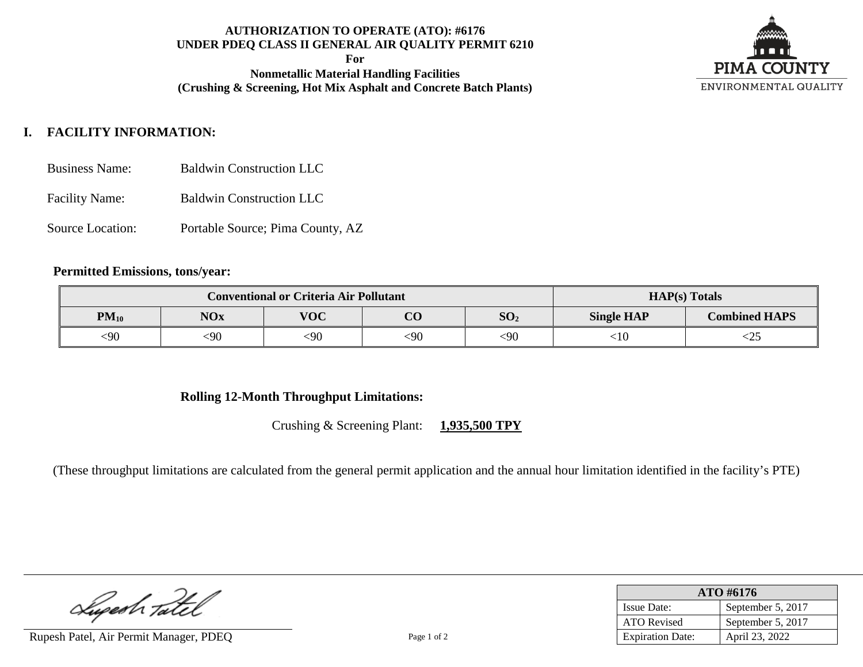# **AUTHORIZATION TO OPERATE (ATO): #6176 UNDER PDEQ CLASS II GENERAL AIR QUALITY PERMIT 6210**

**For**

**Nonmetallic Material Handling Facilities (Crushing & Screening, Hot Mix Asphalt and Concrete Batch Plants)**



# **I. FACILITY INFORMATION:**

- Business Name: Baldwin Construction LLC
- Facility Name: Baldwin Construction LLC
- Source Location: Portable Source; Pima County, AZ

#### **Permitted Emissions, tons/year:**

| <b>Conventional or Criteria Air Pollutant</b> |            |            |                |                 | $HAP(s)$ Totals   |                      |  |
|-----------------------------------------------|------------|------------|----------------|-----------------|-------------------|----------------------|--|
| $PM_{10}$                                     | <b>NOx</b> | <b>VOC</b> | $\Omega$<br>UU | SO <sub>2</sub> | <b>Single HAP</b> | <b>Combined HAPS</b> |  |
| <90                                           | <90        | <90        | $090$          | $90$            | ${<}10$           | ームコ                  |  |

### **Rolling 12-Month Throughput Limitations:**

Crushing & Screening Plant: **1,935,500 TPY**

(These throughput limitations are calculated from the general permit application and the annual hour limitation identified in the facility's PTE)

Luperh Tatel

Rupesh Patel, Air Permit Manager, PDEQ Page 1 of 2

| $ATO$ #6176             |                   |  |  |
|-------------------------|-------------------|--|--|
| <b>Issue Date:</b>      | September 5, 2017 |  |  |
| ATO Revised             | September 5, 2017 |  |  |
| <b>Expiration Date:</b> | April 23, 2022    |  |  |